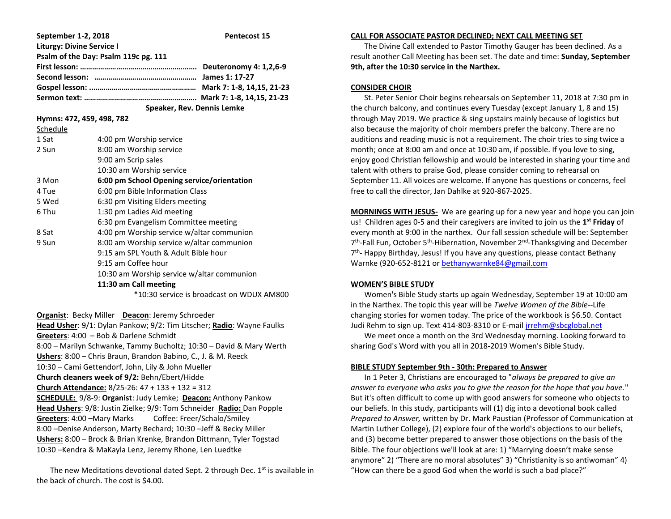| September 1-2, 2018                  | Pentecost 15                                                                                                                                                                                                                         |
|--------------------------------------|--------------------------------------------------------------------------------------------------------------------------------------------------------------------------------------------------------------------------------------|
| <b>Liturgy: Divine Service I</b>     |                                                                                                                                                                                                                                      |
| Psalm of the Day: Psalm 119c pg. 111 |                                                                                                                                                                                                                                      |
|                                      |                                                                                                                                                                                                                                      |
|                                      |                                                                                                                                                                                                                                      |
|                                      |                                                                                                                                                                                                                                      |
|                                      |                                                                                                                                                                                                                                      |
|                                      | <b>Contract in the Contract of Contract Contract Contract Contract Contract Contract Contract Contract Contract Contract Contract Contract Contract Contract Contract Contract Contract Contract Contract Contract Contract Cont</b> |

 **Speaker, Rev. Dennis Lemke**

**Hymns: 472, 459, 498, 782**

| Schedule |                                            |
|----------|--------------------------------------------|
| 1 Sat    | 4:00 pm Worship service                    |
| 2 Sun    | 8:00 am Worship service                    |
|          | 9:00 am Scrip sales                        |
|          | 10:30 am Worship service                   |
| 3 Mon    | 6:00 pm School Opening service/orientation |
| 4 Tue    | 6:00 pm Bible Information Class            |
| 5 Wed    | 6:30 pm Visiting Elders meeting            |
| 6 Thu    | 1:30 pm Ladies Aid meeting                 |
|          | 6:30 pm Evangelism Committee meeting       |
| 8 Sat    | 4:00 pm Worship service w/altar communion  |
| 9 Sun    | 8:00 am Worship service w/altar communion  |
|          | 9:15 am SPL Youth & Adult Bible hour       |
|          | 9:15 am Coffee hour                        |
|          | 10:30 am Worship service w/altar communion |
|          | 11:30 am Call meeting                      |
|          |                                            |

\*10:30 service is broadcast on WDUX AM800

**Organist**: Becky Miller **Deacon**: Jeremy Schroeder

**Head Usher**: 9/1: Dylan Pankow; 9/2: Tim Litscher; **Radio**: Wayne Faulks **Greeters**: 4:00 – Bob & Darlene Schmidt 8:00 – Marilyn Schwanke, Tammy Bucholtz; 10:30 – David & Mary Werth **Ushers**: 8:00 – Chris Braun, Brandon Babino, C., J. & M. Reeck 10:30 – Cami Gettendorf, John, Lily & John Mueller **Church cleaners week of 9/2:** Behn/Ebert/Hidde **Church Attendance:** 8/25-26: 47 + 133 + 132 = 312 **SCHEDULE:** 9/8-9: **Organist**: Judy Lemke; **Deacon:** Anthony Pankow **Head Ushers**: 9/8: Justin Zielke; 9/9: Tom Schneider **Radio:** Dan Popple **Greeters**: 4:00 –Mary Marks Coffee: Freer/Schalo/Smiley 8:00 –Denise Anderson, Marty Bechard; 10:30 –Jeff & Becky Miller **Ushers:** 8:00 – Brock & Brian Krenke, Brandon Dittmann, Tyler Togstad 10:30 –Kendra & MaKayla Lenz, Jeremy Rhone, Len Luedtke

The new Meditations devotional dated Sept. 2 through Dec.  $1<sup>st</sup>$  is available in the back of church. The cost is \$4.00.

#### **CALL FOR ASSOCIATE PASTOR DECLINED; NEXT CALL MEETING SET**

 The Divine Call extended to Pastor Timothy Gauger has been declined. As a result another Call Meeting has been set. The date and time: **Sunday, September 9th, after the 10:30 service in the Narthex.**

### **CONSIDER CHOIR**

 St. Peter Senior Choir begins rehearsals on September 11, 2018 at 7:30 pm in the church balcony, and continues every Tuesday (except January 1, 8 and 15) through May 2019. We practice & sing upstairs mainly because of logistics but also because the majority of choir members prefer the balcony. There are no auditions and reading music is not a requirement. The choir tries to sing twice a month; once at 8:00 am and once at 10:30 am, if possible. If you love to sing, enjoy good Christian fellowship and would be interested in sharing your time and talent with others to praise God, please consider coming to rehearsal on September 11. All voices are welcome. If anyone has questions or concerns, feel free to call the director, Jan Dahlke at 920-867-2025.

**MORNINGS WITH JESUS-** We are gearing up for a new year and hope you can join us! Children ages 0-5 and their caregivers are invited to join us the **1 st Friday** of every month at 9:00 in the narthex. Our fall session schedule will be: September 7<sup>th</sup>-Fall Fun, October 5<sup>th</sup>-Hibernation, November 2<sup>nd</sup>-Thanksgiving and December 7<sup>th</sup>- Happy Birthday, Jesus! If you have any questions, please contact Bethany Warnke (920-652-8121 o[r bethanywarnke84@gmail.com](mailto:bethanywarnke84@gmail.com)

# **WOMEN'S BIBLE STUDY**

 Women's Bible Study starts up again Wednesday, September 19 at 10:00 am in the Narthex. The topic this year will be *Twelve Women of the Bible--*Life changing stories for women today. The price of the workbook is \$6.50. Contact Judi Rehm to sign up. Text 414-803-8310 or E-mail [jrrehm@sbcglobal.net](mailto:jrrehm@sbcglobal.net)

 We meet once a month on the 3rd Wednesday morning. Looking forward to sharing God's Word with you all in 2018-2019 Women's Bible Study.

# **BIBLE STUDY September 9th - 30th: Prepared to Answer**

 In 1 Peter 3, Christians are encouraged to "*always be prepared to give an answer to everyone who asks you to give the reason for the hope that you have.*" But it's often difficult to come up with good answers for someone who objects to our beliefs. In this study, participants will (1) dig into a devotional book called *Prepared to Answer,* written by Dr. Mark Paustian (Professor of Communication at Martin Luther College), (2) explore four of the world's objections to our beliefs, and (3) become better prepared to answer those objections on the basis of the Bible. The four objections we'll look at are: 1) "Marrying doesn't make sense anymore" 2) "There are no moral absolutes" 3) "Christianity is so antiwoman" 4) "How can there be a good God when the world is such a bad place?"